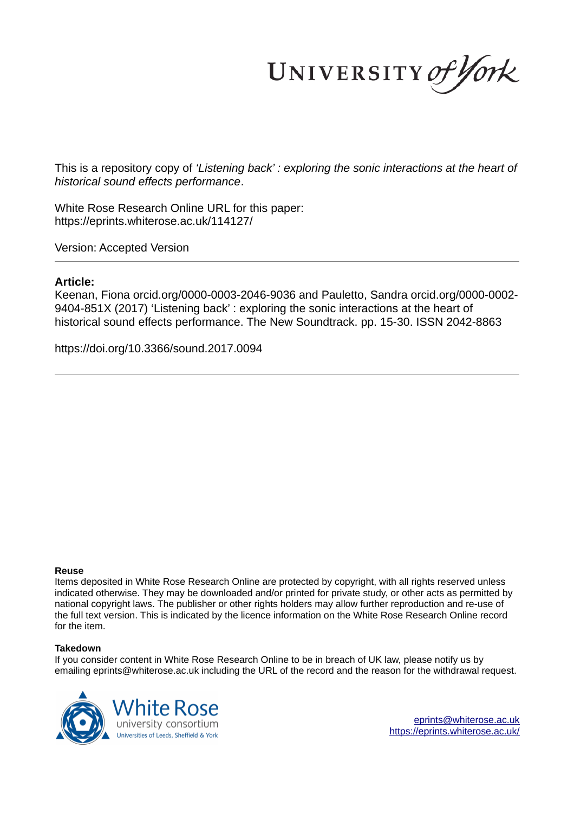UNIVERSITY of York

This is a repository copy of *'Listening back' : exploring the sonic interactions at the heart of historical sound effects performance*.

White Rose Research Online URL for this paper: https://eprints.whiterose.ac.uk/114127/

Version: Accepted Version

#### **Article:**

Keenan, Fiona orcid.org/0000-0003-2046-9036 and Pauletto, Sandra orcid.org/0000-0002- 9404-851X (2017) 'Listening back' : exploring the sonic interactions at the heart of historical sound effects performance. The New Soundtrack. pp. 15-30. ISSN 2042-8863

https://doi.org/10.3366/sound.2017.0094

#### **Reuse**

Items deposited in White Rose Research Online are protected by copyright, with all rights reserved unless indicated otherwise. They may be downloaded and/or printed for private study, or other acts as permitted by national copyright laws. The publisher or other rights holders may allow further reproduction and re-use of the full text version. This is indicated by the licence information on the White Rose Research Online record for the item.

#### **Takedown**

If you consider content in White Rose Research Online to be in breach of UK law, please notify us by emailing eprints@whiterose.ac.uk including the URL of the record and the reason for the withdrawal request.



eprints@whiterose.ac.uk https://eprints.whiterose.ac.uk/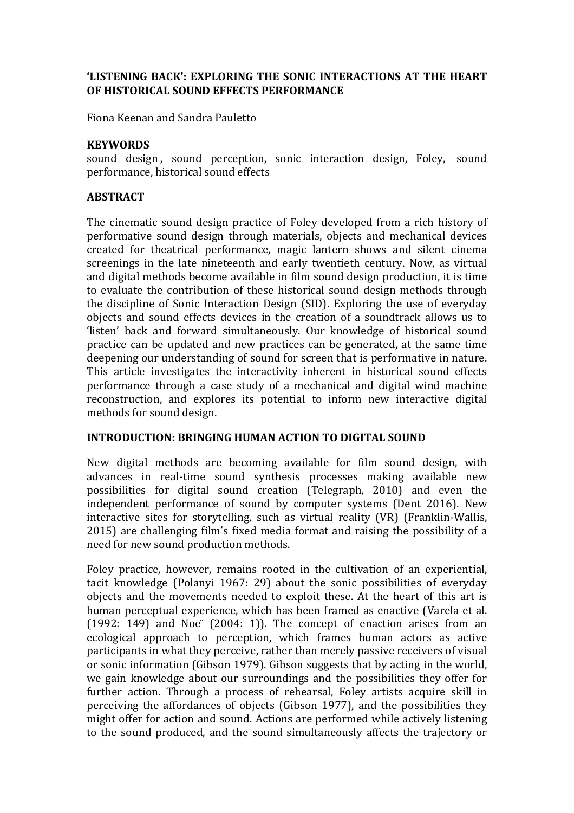# **'LISTENING BACK': EXPLORING THE SONIC INTERACTIONS AT THE HEART OF HISTORICAL SOUND EFFECTS PERFORMANCE**

Fiona Keenan and Sandra Pauletto

#### **KEYWORDS**

sound design, sound perception, sonic interaction design, Foley, sound performance, historical sound effects

#### **ABSTRACT**

The cinematic sound design practice of Foley developed from a rich history of performative sound design through materials, objects and mechanical devices created for theatrical performance, magic lantern shows and silent cinema screenings in the late nineteenth and early twentieth century. Now, as virtual and digital methods become available in film sound design production, it is time to evaluate the contribution of these historical sound design methods through the discipline of Sonic Interaction Design (SID). Exploring the use of everyday objects and sound effects devices in the creation of a soundtrack allows us to 'listen' back and forward simultaneously. Our knowledge of historical sound practice can be updated and new practices can be generated, at the same time deepening our understanding of sound for screen that is performative in nature. This article investigates the interactivity inherent in historical sound effects performance through a case study of a mechanical and digital wind machine reconstruction, and explores its potential to inform new interactive digital methods for sound design.

# **INTRODUCTION: BRINGING HUMAN ACTION TO DIGITAL SOUND**

New digital methods are becoming available for film sound design, with advances in real-time sound synthesis processes making available new possibilities for digital sound creation (Telegraph, 2010) and even the independent performance of sound by computer systems (Dent 2016). New interactive sites for storytelling, such as virtual reality (VR) (Franklin-Wallis,  $2015$ ) are challenging film's fixed media format and raising the possibility of a need for new sound production methods.

Foley practice, however, remains rooted in the cultivation of an experiential, tacit knowledge (Polanyi 1967: 29) about the sonic possibilities of everyday objects and the movements needed to exploit these. At the heart of this art is human perceptual experience, which has been framed as enactive (Varela et al.  $(1992: 149)$  and Noe"  $(2004: 1)$ . The concept of enaction arises from an ecological approach to perception, which frames human actors as active participants in what they perceive, rather than merely passive receivers of visual or sonic information (Gibson 1979). Gibson suggests that by acting in the world, we gain knowledge about our surroundings and the possibilities they offer for further action. Through a process of rehearsal, Foley artists acquire skill in perceiving the affordances of objects (Gibson 1977), and the possibilities they might offer for action and sound. Actions are performed while actively listening to the sound produced, and the sound simultaneously affects the trajectory or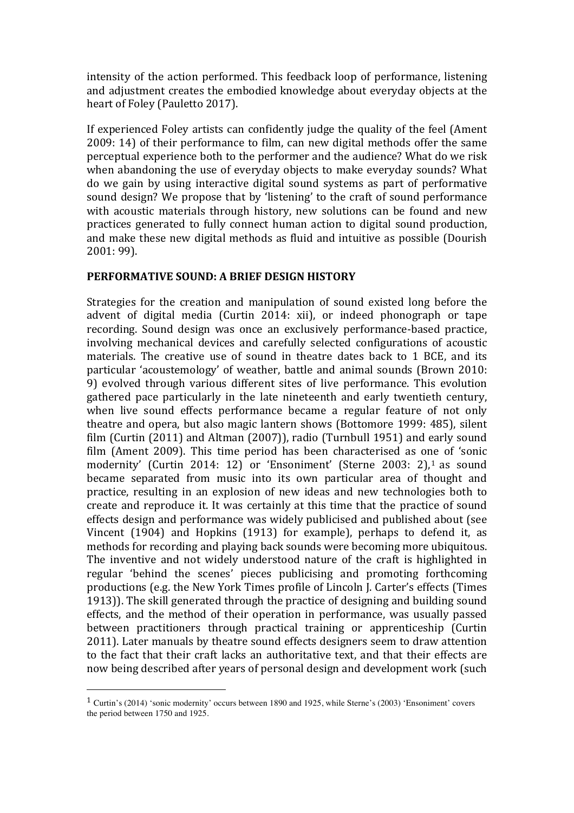intensity of the action performed. This feedback loop of performance, listening and adjustment creates the embodied knowledge about everyday objects at the heart of Foley (Pauletto 2017).

If experienced Foley artists can confidently judge the quality of the feel (Ament  $2009: 14$ ) of their performance to film, can new digital methods offer the same perceptual experience both to the performer and the audience? What do we risk when abandoning the use of everyday objects to make everyday sounds? What do we gain by using interactive digital sound systems as part of performative sound design? We propose that by 'listening' to the craft of sound performance with acoustic materials through history, new solutions can be found and new practices generated to fully connect human action to digital sound production, and make these new digital methods as fluid and intuitive as possible (Dourish 2001: 99). 

# **PERFORMATIVE SOUND: A BRIEF DESIGN HISTORY**

Strategies for the creation and manipulation of sound existed long before the advent of digital media (Curtin 2014: xii), or indeed phonograph or tape recording. Sound design was once an exclusively performance-based practice, involving mechanical devices and carefully selected configurations of acoustic materials. The creative use of sound in theatre dates back to 1 BCE, and its particular 'acoustemology' of weather, battle and animal sounds (Brown 2010: 9) evolved through various different sites of live performance. This evolution gathered pace particularly in the late nineteenth and early twentieth century, when live sound effects performance became a regular feature of not only theatre and opera, but also magic lantern shows (Bottomore 1999: 485), silent film (Curtin  $(2011)$  and Altman  $(2007)$ ), radio (Turnbull 1951) and early sound film (Ament 2009). This time period has been characterised as one of 'sonic modernity' (Curtin 2014: 12) or 'Ensoniment' (Sterne 2003: 2),<sup>1</sup> as sound became separated from music into its own particular area of thought and practice, resulting in an explosion of new ideas and new technologies both to create and reproduce it. It was certainly at this time that the practice of sound effects design and performance was widely publicised and published about (see Vincent  $(1904)$  and Hopkins  $(1913)$  for example), perhaps to defend it, as methods for recording and playing back sounds were becoming more ubiquitous. The inventive and not widely understood nature of the craft is highlighted in regular 'behind the scenes' pieces publicising and promoting forthcoming productions (e.g. the New York Times profile of Lincoln I. Carter's effects (Times 1913)). The skill generated through the practice of designing and building sound effects, and the method of their operation in performance, was usually passed between practitioners through practical training or apprenticeship (Curtin 2011). Later manuals by theatre sound effects designers seem to draw attention to the fact that their craft lacks an authoritative text, and that their effects are now being described after years of personal design and development work (such

 

<sup>1</sup> Curtin's (2014) 'sonic modernity' occurs between 1890 and 1925, while Sterne's (2003) 'Ensoniment' covers the period between 1750 and 1925.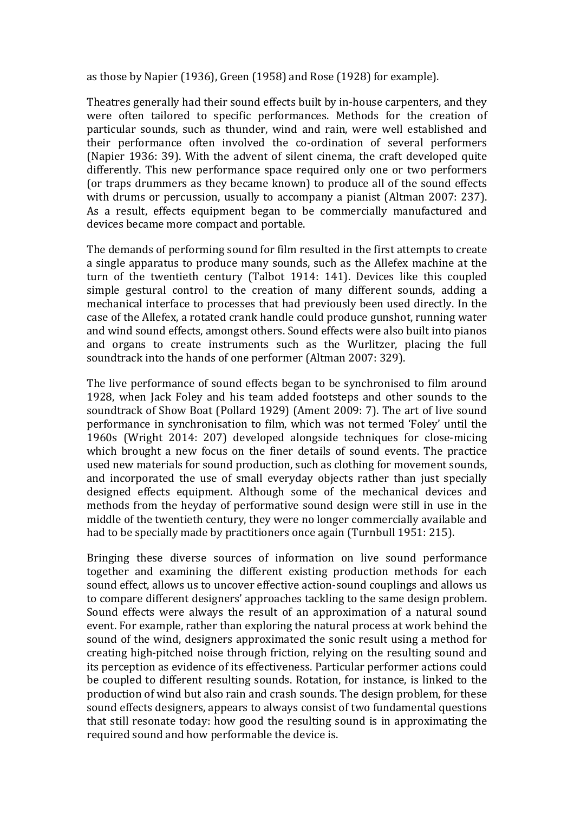as those by Napier (1936), Green (1958) and Rose (1928) for example).

Theatres generally had their sound effects built by in-house carpenters, and they were often tailored to specific performances. Methods for the creation of particular sounds, such as thunder, wind and rain, were well established and their performance often involved the co-ordination of several performers (Napier 1936: 39). With the advent of silent cinema, the craft developed quite differently. This new performance space required only one or two performers (or traps drummers as they became known) to produce all of the sound effects with drums or percussion, usually to accompany a pianist (Altman 2007: 237). As a result, effects equipment began to be commercially manufactured and devices became more compact and portable.

The demands of performing sound for film resulted in the first attempts to create a single apparatus to produce many sounds, such as the Allefex machine at the turn of the twentieth century (Talbot 1914: 141). Devices like this coupled simple gestural control to the creation of many different sounds, adding a mechanical interface to processes that had previously been used directly. In the case of the Allefex, a rotated crank handle could produce gunshot, running water and wind sound effects, amongst others. Sound effects were also built into pianos and organs to create instruments such as the Wurlitzer, placing the full soundtrack into the hands of one performer (Altman 2007: 329).

The live performance of sound effects began to be synchronised to film around 1928, when Jack Foley and his team added footsteps and other sounds to the soundtrack of Show Boat (Pollard 1929) (Ament 2009: 7). The art of live sound performance in synchronisation to film, which was not termed 'Foley' until the 1960s (Wright 2014: 207) developed alongside techniques for close-micing which brought a new focus on the finer details of sound events. The practice used new materials for sound production, such as clothing for movement sounds, and incorporated the use of small everyday objects rather than just specially designed effects equipment. Although some of the mechanical devices and methods from the heyday of performative sound design were still in use in the middle of the twentieth century, they were no longer commercially available and had to be specially made by practitioners once again (Turnbull 1951: 215).

Bringing these diverse sources of information on live sound performance together and examining the different existing production methods for each sound effect, allows us to uncover effective action-sound couplings and allows us to compare different designers' approaches tackling to the same design problem. Sound effects were always the result of an approximation of a natural sound event. For example, rather than exploring the natural process at work behind the sound of the wind, designers approximated the sonic result using a method for creating high-pitched noise through friction, relying on the resulting sound and its perception as evidence of its effectiveness. Particular performer actions could be coupled to different resulting sounds. Rotation, for instance, is linked to the production of wind but also rain and crash sounds. The design problem, for these sound effects designers, appears to always consist of two fundamental questions that still resonate today: how good the resulting sound is in approximating the required sound and how performable the device is.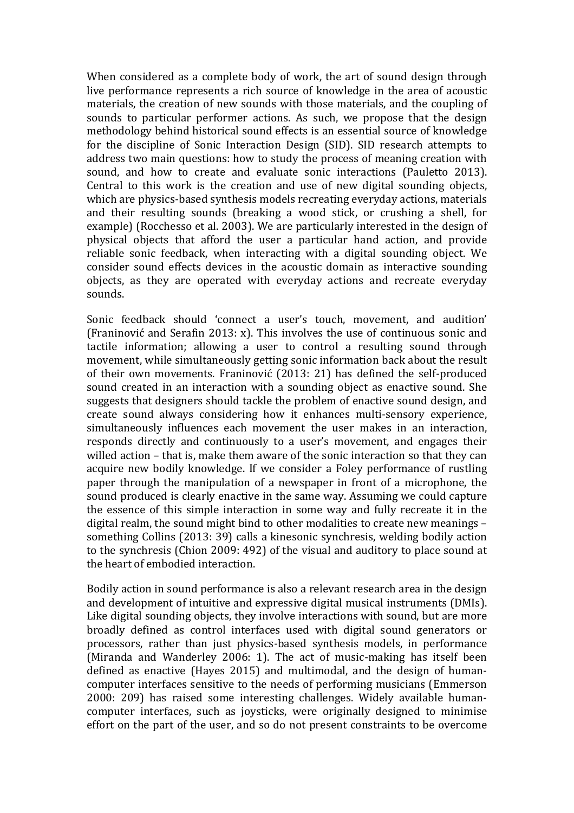When considered as a complete body of work, the art of sound design through live performance represents a rich source of knowledge in the area of acoustic materials, the creation of new sounds with those materials, and the coupling of sounds to particular performer actions. As such, we propose that the design methodology behind historical sound effects is an essential source of knowledge for the discipline of Sonic Interaction Design (SID). SID research attempts to address two main questions: how to study the process of meaning creation with sound, and how to create and evaluate sonic interactions (Pauletto 2013). Central to this work is the creation and use of new digital sounding objects, which are physics-based synthesis models recreating everyday actions, materials and their resulting sounds (breaking a wood stick, or crushing a shell, for example) (Rocchesso et al. 2003). We are particularly interested in the design of physical objects that afford the user a particular hand action, and provide reliable sonic feedback, when interacting with a digital sounding object. We consider sound effects devices in the acoustic domain as interactive sounding objects, as they are operated with everyday actions and recreate everyday sounds.

Sonic feedback should 'connect a user's touch, movement, and audition' (Franinović and Serafin 2013: x). This involves the use of continuous sonic and tactile information; allowing a user to control a resulting sound through movement, while simultaneously getting sonic information back about the result of their own movements. Franinović (2013: 21) has defined the self-produced sound created in an interaction with a sounding object as enactive sound. She suggests that designers should tackle the problem of enactive sound design, and create sound always considering how it enhances multi-sensory experience, simultaneously influences each movement the user makes in an interaction, responds directly and continuously to a user's movement, and engages their willed action – that is, make them aware of the sonic interaction so that they can acquire new bodily knowledge. If we consider a Foley performance of rustling paper through the manipulation of a newspaper in front of a microphone, the sound produced is clearly enactive in the same way. Assuming we could capture the essence of this simple interaction in some way and fully recreate it in the digital realm, the sound might bind to other modalities to create new meanings – something Collins (2013: 39) calls a kinesonic synchresis, welding bodily action to the synchresis (Chion 2009: 492) of the visual and auditory to place sound at the heart of embodied interaction.

Bodily action in sound performance is also a relevant research area in the design and development of intuitive and expressive digital musical instruments (DMIs). Like digital sounding objects, they involve interactions with sound, but are more broadly defined as control interfaces used with digital sound generators or processors, rather than just physics-based synthesis models, in performance (Miranda and Wanderley 2006: 1). The act of music-making has itself been defined as enactive (Hayes 2015) and multimodal, and the design of humancomputer interfaces sensitive to the needs of performing musicians (Emmerson 2000: 209) has raised some interesting challenges. Widely available humancomputer interfaces, such as joysticks, were originally designed to minimise effort on the part of the user, and so do not present constraints to be overcome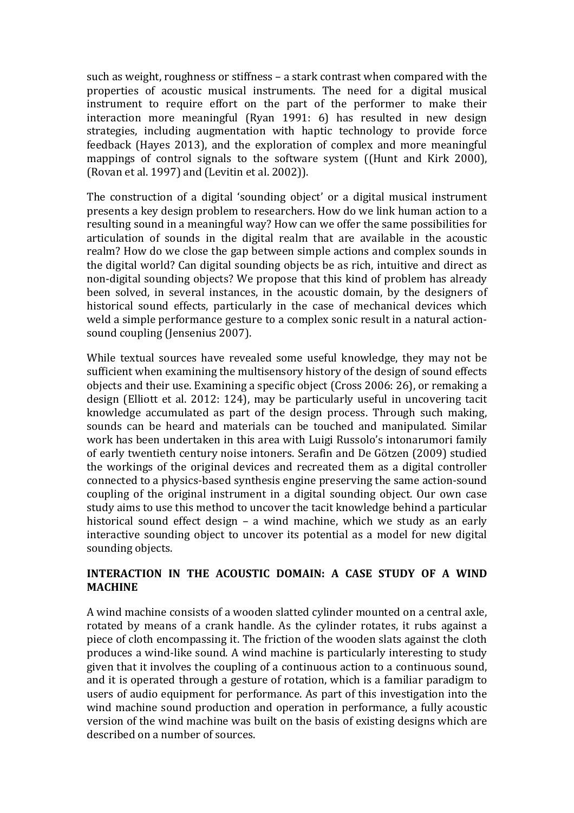such as weight, roughness or stiffness – a stark contrast when compared with the properties of acoustic musical instruments. The need for a digital musical instrument to require effort on the part of the performer to make their interaction more meaningful (Ryan 1991: 6) has resulted in new design strategies, including augmentation with haptic technology to provide force feedback (Hayes 2013), and the exploration of complex and more meaningful mappings of control signals to the software system ((Hunt and Kirk 2000), (Rovan et al. 1997) and (Levitin et al. 2002)).

The construction of a digital 'sounding object' or a digital musical instrument presents a key design problem to researchers. How do we link human action to a resulting sound in a meaningful way? How can we offer the same possibilities for articulation of sounds in the digital realm that are available in the acoustic realm? How do we close the gap between simple actions and complex sounds in the digital world? Can digital sounding objects be as rich, intuitive and direct as non-digital sounding objects? We propose that this kind of problem has already been solved, in several instances, in the acoustic domain, by the designers of historical sound effects, particularly in the case of mechanical devices which weld a simple performance gesture to a complex sonic result in a natural actionsound coupling (Jensenius 2007).

While textual sources have revealed some useful knowledge, they may not be sufficient when examining the multisensory history of the design of sound effects objects and their use. Examining a specific object (Cross 2006: 26), or remaking a design (Elliott et al. 2012: 124), may be particularly useful in uncovering tacit knowledge accumulated as part of the design process. Through such making, sounds can be heard and materials can be touched and manipulated. Similar work has been undertaken in this area with Luigi Russolo's intonarumori family of early twentieth century noise intoners. Serafin and De Götzen (2009) studied the workings of the original devices and recreated them as a digital controller connected to a physics-based synthesis engine preserving the same action-sound coupling of the original instrument in a digital sounding object. Our own case study aims to use this method to uncover the tacit knowledge behind a particular historical sound effect design  $-$  a wind machine, which we study as an early interactive sounding object to uncover its potential as a model for new digital sounding objects.

# **INTERACTION IN THE ACOUSTIC DOMAIN: A CASE STUDY OF A WIND MACHINE**

A wind machine consists of a wooden slatted cylinder mounted on a central axle, rotated by means of a crank handle. As the cylinder rotates, it rubs against a piece of cloth encompassing it. The friction of the wooden slats against the cloth produces a wind-like sound. A wind machine is particularly interesting to study given that it involves the coupling of a continuous action to a continuous sound, and it is operated through a gesture of rotation, which is a familiar paradigm to users of audio equipment for performance. As part of this investigation into the wind machine sound production and operation in performance, a fully acoustic version of the wind machine was built on the basis of existing designs which are described on a number of sources.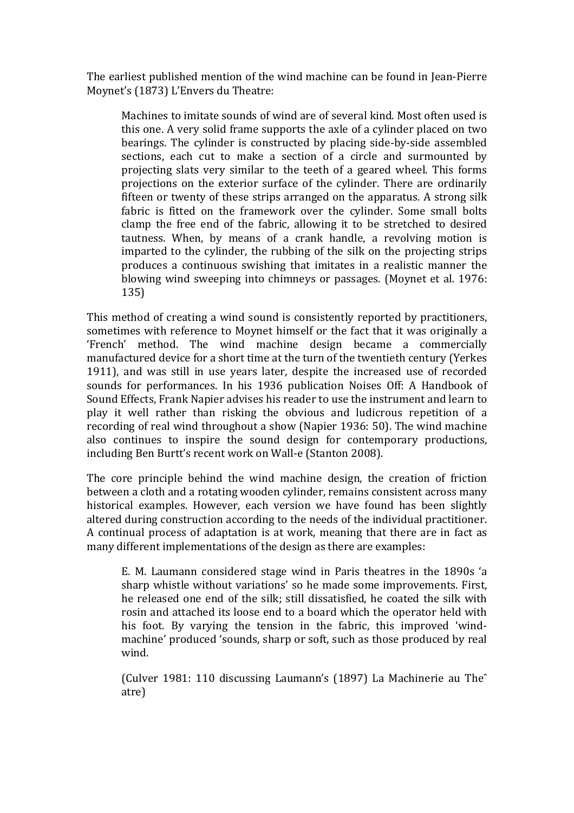The earliest published mention of the wind machine can be found in Jean-Pierre Moynet's (1873) L'Envers du Theatre:

Machines to imitate sounds of wind are of several kind. Most often used is this one. A very solid frame supports the axle of a cylinder placed on two bearings. The cylinder is constructed by placing side-by-side assembled sections, each cut to make a section of a circle and surmounted by projecting slats very similar to the teeth of a geared wheel. This forms projections on the exterior surface of the cylinder. There are ordinarily fifteen or twenty of these strips arranged on the apparatus. A strong silk fabric is fitted on the framework over the cylinder. Some small bolts clamp the free end of the fabric, allowing it to be stretched to desired tautness. When, by means of a crank handle, a revolving motion is imparted to the cylinder, the rubbing of the silk on the projecting strips produces a continuous swishing that imitates in a realistic manner the blowing wind sweeping into chimneys or passages. (Moynet et al. 1976: 135)

This method of creating a wind sound is consistently reported by practitioners, sometimes with reference to Moynet himself or the fact that it was originally a 'French' method. The wind machine design became a commercially manufactured device for a short time at the turn of the twentieth century (Yerkes 1911), and was still in use years later, despite the increased use of recorded sounds for performances. In his 1936 publication Noises Off: A Handbook of Sound Effects, Frank Napier advises his reader to use the instrument and learn to play it well rather than risking the obvious and ludicrous repetition of a recording of real wind throughout a show (Napier 1936: 50). The wind machine also continues to inspire the sound design for contemporary productions, including Ben Burtt's recent work on Wall-e (Stanton 2008).

The core principle behind the wind machine design, the creation of friction between a cloth and a rotating wooden cylinder, remains consistent across many historical examples. However, each version we have found has been slightly altered during construction according to the needs of the individual practitioner. A continual process of adaptation is at work, meaning that there are in fact as many different implementations of the design as there are examples:

E. M. Laumann considered stage wind in Paris theatres in the 1890s 'a sharp whistle without variations' so he made some improvements. First, he released one end of the silk; still dissatisfied, he coated the silk with rosin and attached its loose end to a board which the operator held with his foot. By varying the tension in the fabric, this improved 'windmachine' produced 'sounds, sharp or soft, such as those produced by real wind.

(Culver 1981: 110 discussing Laumann's (1897) La Machinerie au The<sup>^</sup> atre)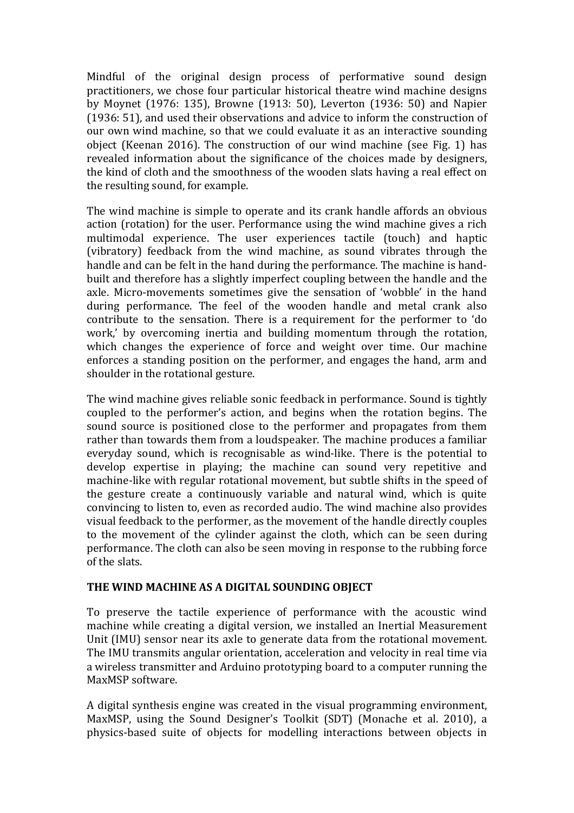Mindful of the original design process of performative sound design practitioners, we chose four particular historical theatre wind machine designs by Moynet (1976: 135), Browne (1913: 50), Leverton (1936: 50) and Napier (1936: 51), and used their observations and advice to inform the construction of our own wind machine, so that we could evaluate it as an interactive sounding object (Keenan 2016). The construction of our wind machine (see Fig. 1) has revealed information about the significance of the choices made by designers, the kind of cloth and the smoothness of the wooden slats having a real effect on the resulting sound, for example.

The wind machine is simple to operate and its crank handle affords an obvious action (rotation) for the user. Performance using the wind machine gives a rich multimodal experience. The user experiences tactile (touch) and haptic (vibratory) feedback from the wind machine, as sound vibrates through the handle and can be felt in the hand during the performance. The machine is handbuilt and therefore has a slightly imperfect coupling between the handle and the axle. Micro-movements sometimes give the sensation of 'wobble' in the hand during performance. The feel of the wooden handle and metal crank also contribute to the sensation. There is a requirement for the performer to 'do work,' by overcoming inertia and building momentum through the rotation, which changes the experience of force and weight over time. Our machine enforces a standing position on the performer, and engages the hand, arm and shoulder in the rotational gesture.

The wind machine gives reliable sonic feedback in performance. Sound is tightly coupled to the performer's action, and begins when the rotation begins. The sound source is positioned close to the performer and propagates from them rather than towards them from a loudspeaker. The machine produces a familiar everyday sound, which is recognisable as wind-like. There is the potential to develop expertise in playing; the machine can sound very repetitive and machine-like with regular rotational movement, but subtle shifts in the speed of the gesture create a continuously variable and natural wind, which is quite convincing to listen to, even as recorded audio. The wind machine also provides visual feedback to the performer, as the movement of the handle directly couples to the movement of the cylinder against the cloth, which can be seen during performance. The cloth can also be seen moving in response to the rubbing force of the slats.

# THE WIND MACHINE AS A DIGITAL SOUNDING OBIECT

To preserve the tactile experience of performance with the acoustic wind machine while creating a digital version, we installed an Inertial Measurement Unit (IMU) sensor near its axle to generate data from the rotational movement. The IMU transmits angular orientation, acceleration and velocity in real time via a wireless transmitter and Arduino prototyping board to a computer running the MaxMSP software.

A digital synthesis engine was created in the visual programming environment, MaxMSP, using the Sound Designer's Toolkit (SDT) (Monache et al. 2010), a physics-based suite of objects for modelling interactions between objects in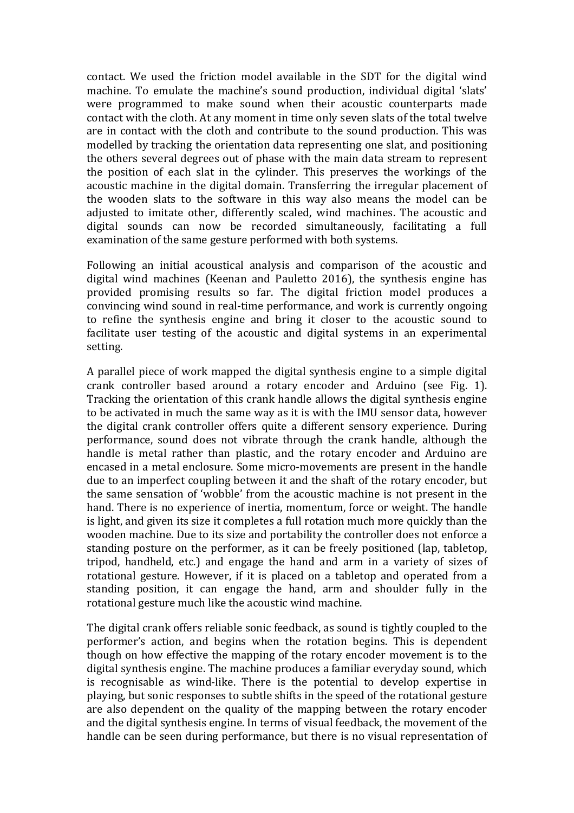contact. We used the friction model available in the SDT for the digital wind machine. To emulate the machine's sound production, individual digital 'slats' were programmed to make sound when their acoustic counterparts made contact with the cloth. At any moment in time only seven slats of the total twelve are in contact with the cloth and contribute to the sound production. This was modelled by tracking the orientation data representing one slat, and positioning the others several degrees out of phase with the main data stream to represent the position of each slat in the cylinder. This preserves the workings of the acoustic machine in the digital domain. Transferring the irregular placement of the wooden slats to the software in this way also means the model can be adjusted to imitate other, differently scaled, wind machines. The acoustic and digital sounds can now be recorded simultaneously, facilitating a full examination of the same gesture performed with both systems.

Following an initial acoustical analysis and comparison of the acoustic and digital wind machines (Keenan and Pauletto 2016), the synthesis engine has provided promising results so far. The digital friction model produces a convincing wind sound in real-time performance, and work is currently ongoing to refine the synthesis engine and bring it closer to the acoustic sound to facilitate user testing of the acoustic and digital systems in an experimental setting.

A parallel piece of work mapped the digital synthesis engine to a simple digital crank controller based around a rotary encoder and Arduino (see Fig. 1). Tracking the orientation of this crank handle allows the digital synthesis engine to be activated in much the same way as it is with the IMU sensor data, however the digital crank controller offers quite a different sensory experience. During performance, sound does not vibrate through the crank handle, although the handle is metal rather than plastic, and the rotary encoder and Arduino are encased in a metal enclosure. Some micro-movements are present in the handle due to an imperfect coupling between it and the shaft of the rotary encoder, but the same sensation of 'wobble' from the acoustic machine is not present in the hand. There is no experience of inertia, momentum, force or weight. The handle is light, and given its size it completes a full rotation much more quickly than the wooden machine. Due to its size and portability the controller does not enforce a standing posture on the performer, as it can be freely positioned (lap, tabletop, tripod, handheld, etc.) and engage the hand and arm in a variety of sizes of rotational gesture. However, if it is placed on a tabletop and operated from a standing position, it can engage the hand, arm and shoulder fully in the rotational gesture much like the acoustic wind machine.

The digital crank offers reliable sonic feedback, as sound is tightly coupled to the performer's action, and begins when the rotation begins. This is dependent though on how effective the mapping of the rotary encoder movement is to the digital synthesis engine. The machine produces a familiar everyday sound, which is recognisable as wind-like. There is the potential to develop expertise in playing, but sonic responses to subtle shifts in the speed of the rotational gesture are also dependent on the quality of the mapping between the rotary encoder and the digital synthesis engine. In terms of visual feedback, the movement of the handle can be seen during performance, but there is no visual representation of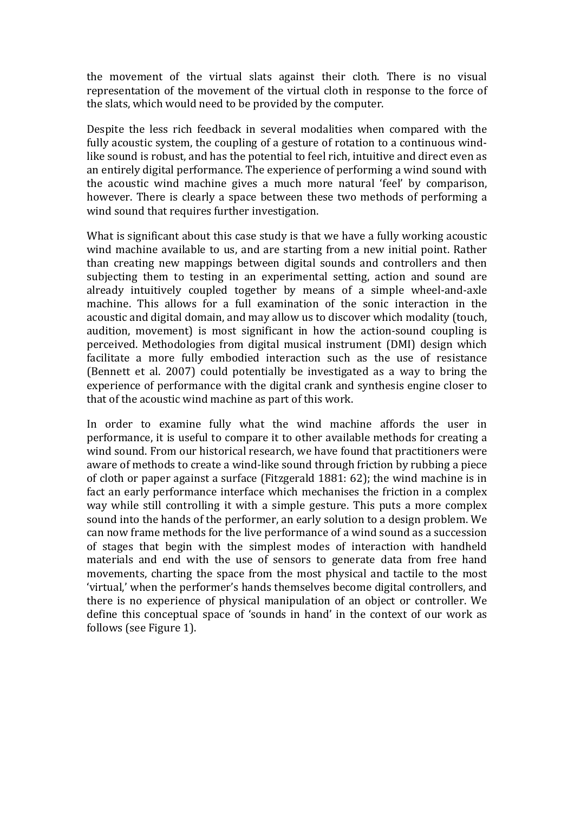the movement of the virtual slats against their cloth. There is no visual representation of the movement of the virtual cloth in response to the force of the slats, which would need to be provided by the computer.

Despite the less rich feedback in several modalities when compared with the fully acoustic system, the coupling of a gesture of rotation to a continuous windlike sound is robust, and has the potential to feel rich, intuitive and direct even as an entirely digital performance. The experience of performing a wind sound with the acoustic wind machine gives a much more natural 'feel' by comparison, however. There is clearly a space between these two methods of performing a wind sound that requires further investigation.

What is significant about this case study is that we have a fully working acoustic wind machine available to us, and are starting from a new initial point. Rather than creating new mappings between digital sounds and controllers and then subjecting them to testing in an experimental setting, action and sound are already intuitively coupled together by means of a simple wheel-and-axle machine. This allows for a full examination of the sonic interaction in the acoustic and digital domain, and may allow us to discover which modality (touch, audition, movement) is most significant in how the action-sound coupling is perceived. Methodologies from digital musical instrument (DMI) design which facilitate a more fully embodied interaction such as the use of resistance (Bennett et al. 2007) could potentially be investigated as a way to bring the experience of performance with the digital crank and synthesis engine closer to that of the acoustic wind machine as part of this work.

In order to examine fully what the wind machine affords the user in performance, it is useful to compare it to other available methods for creating a wind sound. From our historical research, we have found that practitioners were aware of methods to create a wind-like sound through friction by rubbing a piece of cloth or paper against a surface (Fitzgerald  $1881: 62$ ); the wind machine is in fact an early performance interface which mechanises the friction in a complex way while still controlling it with a simple gesture. This puts a more complex sound into the hands of the performer, an early solution to a design problem. We can now frame methods for the live performance of a wind sound as a succession of stages that begin with the simplest modes of interaction with handheld materials and end with the use of sensors to generate data from free hand movements, charting the space from the most physical and tactile to the most 'virtual,' when the performer's hands themselves become digital controllers, and there is no experience of physical manipulation of an object or controller. We define this conceptual space of 'sounds in hand' in the context of our work as follows (see Figure 1).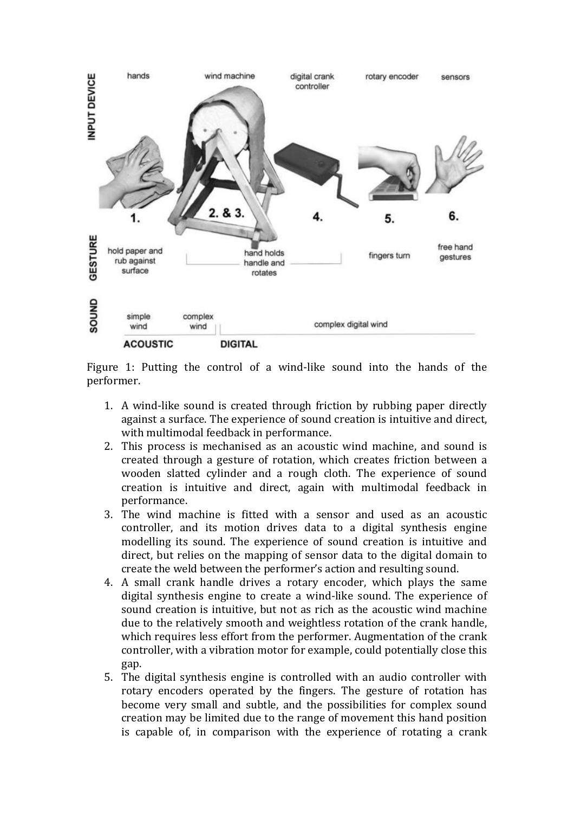

Figure 1: Putting the control of a wind-like sound into the hands of the performer. 

- 1. A wind-like sound is created through friction by rubbing paper directly against a surface. The experience of sound creation is intuitive and direct, with multimodal feedback in performance.
- 2. This process is mechanised as an acoustic wind machine, and sound is created through a gesture of rotation, which creates friction between a wooden slatted cylinder and a rough cloth. The experience of sound creation is intuitive and direct, again with multimodal feedback in performance.
- 3. The wind machine is fitted with a sensor and used as an acoustic controller, and its motion drives data to a digital synthesis engine modelling its sound. The experience of sound creation is intuitive and direct, but relies on the mapping of sensor data to the digital domain to create the weld between the performer's action and resulting sound.
- 4. A small crank handle drives a rotary encoder, which plays the same digital synthesis engine to create a wind-like sound. The experience of sound creation is intuitive, but not as rich as the acoustic wind machine due to the relatively smooth and weightless rotation of the crank handle, which requires less effort from the performer. Augmentation of the crank controller, with a vibration motor for example, could potentially close this gap.
- 5. The digital synthesis engine is controlled with an audio controller with rotary encoders operated by the fingers. The gesture of rotation has become very small and subtle, and the possibilities for complex sound creation may be limited due to the range of movement this hand position is capable of, in comparison with the experience of rotating a crank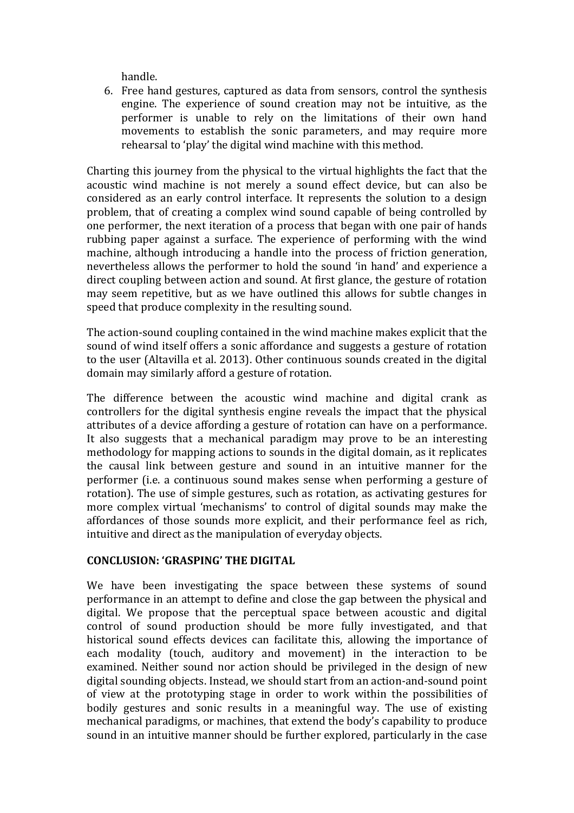handle. 

6. Free hand gestures, captured as data from sensors, control the synthesis engine. The experience of sound creation may not be intuitive, as the performer is unable to rely on the limitations of their own hand movements to establish the sonic parameters, and may require more rehearsal to 'play' the digital wind machine with this method.

Charting this journey from the physical to the virtual highlights the fact that the acoustic wind machine is not merely a sound effect device, but can also be considered as an early control interface. It represents the solution to a design problem, that of creating a complex wind sound capable of being controlled by one performer, the next iteration of a process that began with one pair of hands rubbing paper against a surface. The experience of performing with the wind machine, although introducing a handle into the process of friction generation, nevertheless allows the performer to hold the sound 'in hand' and experience a direct coupling between action and sound. At first glance, the gesture of rotation may seem repetitive, but as we have outlined this allows for subtle changes in speed that produce complexity in the resulting sound.

The action-sound coupling contained in the wind machine makes explicit that the sound of wind itself offers a sonic affordance and suggests a gesture of rotation to the user (Altavilla et al. 2013). Other continuous sounds created in the digital domain may similarly afford a gesture of rotation.

The difference between the acoustic wind machine and digital crank as controllers for the digital synthesis engine reveals the impact that the physical attributes of a device affording a gesture of rotation can have on a performance. It also suggests that a mechanical paradigm may prove to be an interesting methodology for mapping actions to sounds in the digital domain, as it replicates the causal link between gesture and sound in an intuitive manner for the performer (i.e. a continuous sound makes sense when performing a gesture of rotation). The use of simple gestures, such as rotation, as activating gestures for more complex virtual 'mechanisms' to control of digital sounds may make the affordances of those sounds more explicit, and their performance feel as rich, intuitive and direct as the manipulation of everyday objects.

# **CONCLUSION: 'GRASPING' THE DIGITAL**

We have been investigating the space between these systems of sound performance in an attempt to define and close the gap between the physical and digital. We propose that the perceptual space between acoustic and digital control of sound production should be more fully investigated, and that historical sound effects devices can facilitate this, allowing the importance of each modality (touch, auditory and movement) in the interaction to be examined. Neither sound nor action should be privileged in the design of new digital sounding objects. Instead, we should start from an action-and-sound point of view at the prototyping stage in order to work within the possibilities of bodily gestures and sonic results in a meaningful way. The use of existing mechanical paradigms, or machines, that extend the body's capability to produce sound in an intuitive manner should be further explored, particularly in the case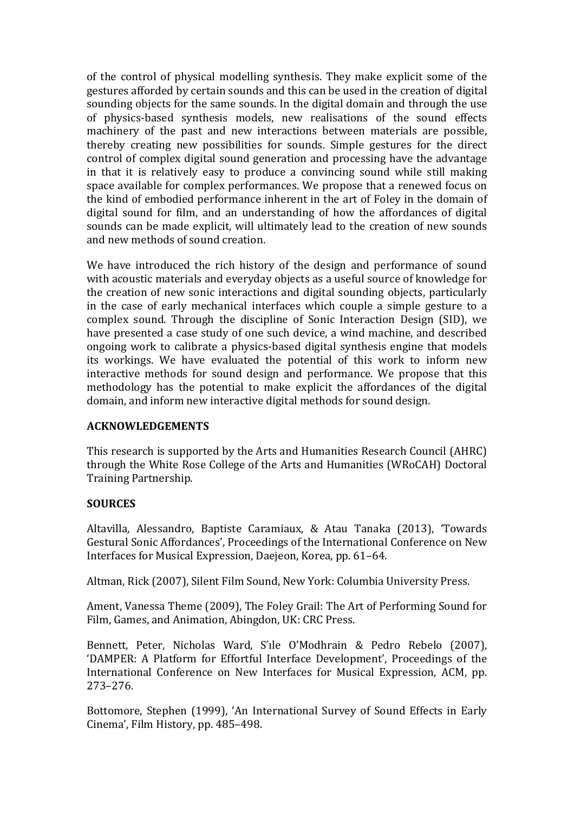of the control of physical modelling synthesis. They make explicit some of the gestures afforded by certain sounds and this can be used in the creation of digital sounding objects for the same sounds. In the digital domain and through the use of physics-based synthesis models, new realisations of the sound effects machinery of the past and new interactions between materials are possible, thereby creating new possibilities for sounds. Simple gestures for the direct control of complex digital sound generation and processing have the advantage in that it is relatively easy to produce a convincing sound while still making space available for complex performances. We propose that a renewed focus on the kind of embodied performance inherent in the art of Foley in the domain of digital sound for film, and an understanding of how the affordances of digital sounds can be made explicit, will ultimately lead to the creation of new sounds and new methods of sound creation.

We have introduced the rich history of the design and performance of sound with acoustic materials and everyday objects as a useful source of knowledge for the creation of new sonic interactions and digital sounding objects, particularly in the case of early mechanical interfaces which couple a simple gesture to a complex sound. Through the discipline of Sonic Interaction Design (SID), we have presented a case study of one such device, a wind machine, and described ongoing work to calibrate a physics-based digital synthesis engine that models its workings. We have evaluated the potential of this work to inform new interactive methods for sound design and performance. We propose that this methodology has the potential to make explicit the affordances of the digital domain, and inform new interactive digital methods for sound design.

#### **ACKNOWLEDGEMENTS**

This research is supported by the Arts and Humanities Research Council (AHRC) through the White Rose College of the Arts and Humanities (WRoCAH) Doctoral Training Partnership.

# **SOURCES**

Altavilla, Alessandro, Baptiste Caramiaux, & Atau Tanaka (2013), 'Towards Gestural Sonic Affordances', Proceedings of the International Conference on New Interfaces for Musical Expression, Daejeon, Korea, pp. 61-64.

Altman, Rick (2007), Silent Film Sound, New York: Columbia University Press.

Ament, Vanessa Theme (2009), The Foley Grail: The Art of Performing Sound for Film, Games, and Animation, Abingdon, UK: CRC Press.

Bennett, Peter, Nicholas Ward, S'ile O'Modhrain & Pedro Rebelo (2007), 'DAMPER: A Platform for Effortful Interface Development', Proceedings of the International Conference on New Interfaces for Musical Expression, ACM, pp. 273–276.

Bottomore, Stephen (1999), 'An International Survey of Sound Effects in Early Cinema', Film History, pp. 485-498.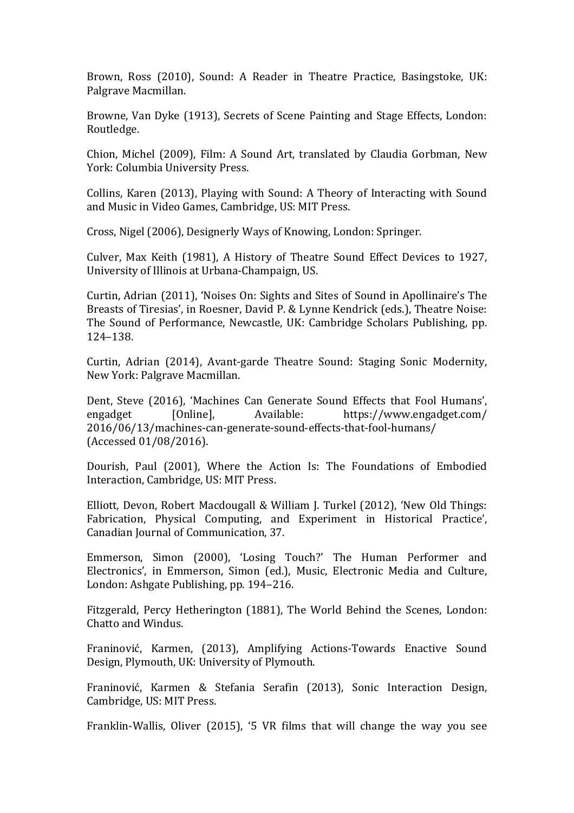Brown, Ross (2010), Sound: A Reader in Theatre Practice, Basingstoke, UK: Palgrave Macmillan. 

Browne, Van Dyke (1913), Secrets of Scene Painting and Stage Effects, London: Routledge.

Chion, Michel (2009), Film: A Sound Art, translated by Claudia Gorbman, New York: Columbia University Press.

Collins, Karen (2013), Playing with Sound: A Theory of Interacting with Sound and Music in Video Games, Cambridge, US: MIT Press.

Cross, Nigel (2006), Designerly Ways of Knowing, London: Springer.

Culver, Max Keith (1981), A History of Theatre Sound Effect Devices to 1927, University of Illinois at Urbana-Champaign, US.

Curtin, Adrian (2011), 'Noises On: Sights and Sites of Sound in Apollinaire's The Breasts of Tiresias', in Roesner, David P. & Lynne Kendrick (eds.), Theatre Noise: The Sound of Performance, Newcastle, UK: Cambridge Scholars Publishing, pp. 124–138. 

Curtin, Adrian (2014), Avant-garde Theatre Sound: Staging Sonic Modernity, New York: Palgrave Macmillan.

Dent, Steve (2016), 'Machines Can Generate Sound Effects that Fool Humans', engadget [Online], Available: https://www.engadget.com/ 2016/06/13/machines-can-generate-sound-effects-that-fool-humans/ (Accessed 01/08/2016).

Dourish, Paul (2001), Where the Action Is: The Foundations of Embodied Interaction, Cambridge, US: MIT Press.

Elliott, Devon, Robert Macdougall & William J. Turkel (2012), 'New Old Things: Fabrication, Physical Computing, and Experiment in Historical Practice', Canadian Journal of Communication, 37.

Emmerson, Simon (2000), 'Losing Touch?' The Human Performer and Electronics', in Emmerson, Simon (ed.), Music, Electronic Media and Culture, London: Ashgate Publishing, pp. 194–216.

Fitzgerald, Percy Hetherington (1881), The World Behind the Scenes, London: Chatto and Windus.

Franinović, Karmen, (2013), Amplifying Actions-Towards Enactive Sound Design, Plymouth, UK: University of Plymouth.

Franinović, Karmen & Stefania Serafin (2013), Sonic Interaction Design, Cambridge, US: MIT Press.

Franklin-Wallis, Oliver  $(2015)$ , '5 VR films that will change the way you see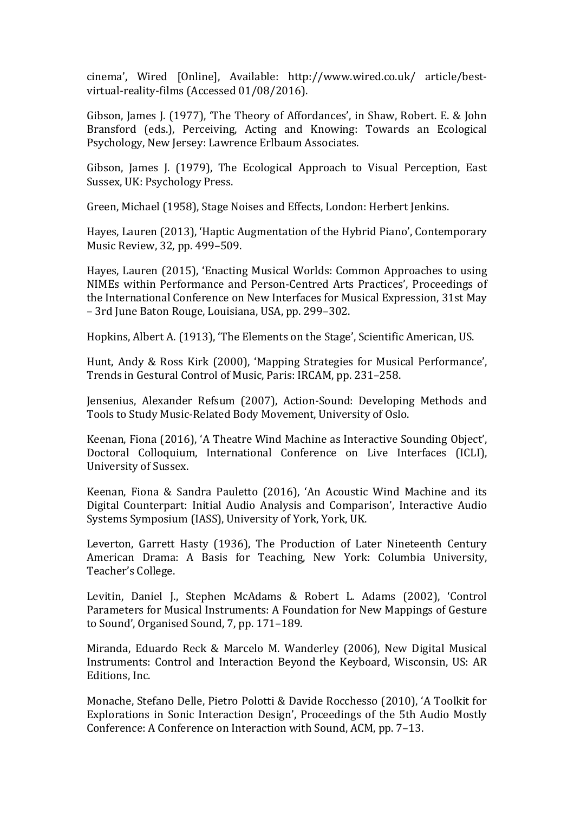cinema', Wired [Online], Available: http://www.wired.co.uk/ article/bestvirtual-reality-films (Accessed 01/08/2016).

Gibson, James J. (1977), 'The Theory of Affordances', in Shaw, Robert. E. & John Bransford (eds.), Perceiving, Acting and Knowing: Towards an Ecological Psychology, New Jersey: Lawrence Erlbaum Associates.

Gibson, James J. (1979), The Ecological Approach to Visual Perception, East Sussex, UK: Psychology Press.

Green, Michael (1958), Stage Noises and Effects, London: Herbert Jenkins.

Hayes, Lauren (2013), 'Haptic Augmentation of the Hybrid Piano', Contemporary Music Review, 32, pp. 499–509.

Hayes, Lauren (2015), 'Enacting Musical Worlds: Common Approaches to using NIMEs within Performance and Person-Centred Arts Practices', Proceedings of the International Conference on New Interfaces for Musical Expression, 31st May – 3rd June Baton Rouge, Louisiana, USA, pp. 299–302.

Hopkins, Albert A. (1913), 'The Elements on the Stage', Scientific American, US.

Hunt, Andy & Ross Kirk (2000), 'Mapping Strategies for Musical Performance', Trends in Gestural Control of Music, Paris: IRCAM, pp. 231-258.

Jensenius, Alexander Refsum (2007), Action-Sound: Developing Methods and Tools to Study Music-Related Body Movement, University of Oslo.

Keenan, Fiona (2016), 'A Theatre Wind Machine as Interactive Sounding Object', Doctoral Colloquium, International Conference on Live Interfaces (ICLI), University of Sussex.

Keenan, Fiona & Sandra Pauletto (2016), 'An Acoustic Wind Machine and its Digital Counterpart: Initial Audio Analysis and Comparison', Interactive Audio Systems Symposium (IASS), University of York, York, UK.

Leverton, Garrett Hasty (1936), The Production of Later Nineteenth Century American Drama: A Basis for Teaching, New York: Columbia University, Teacher's College.

Levitin, Daniel J., Stephen McAdams & Robert L. Adams (2002), 'Control Parameters for Musical Instruments: A Foundation for New Mappings of Gesture to Sound', Organised Sound, 7, pp. 171–189.

Miranda, Eduardo Reck & Marcelo M. Wanderley (2006), New Digital Musical Instruments: Control and Interaction Beyond the Keyboard, Wisconsin, US: AR Editions, Inc.

Monache, Stefano Delle, Pietro Polotti & Davide Rocchesso (2010), 'A Toolkit for Explorations in Sonic Interaction Design', Proceedings of the 5th Audio Mostly Conference: A Conference on Interaction with Sound, ACM, pp. 7-13.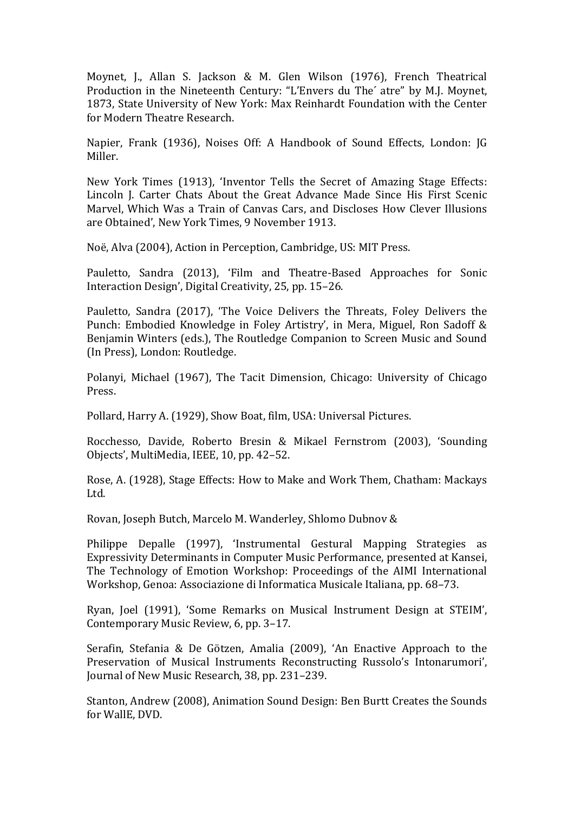Moynet, J., Allan S. Jackson & M. Glen Wilson (1976), French Theatrical Production in the Nineteenth Century: "L'Envers du The' atre" by M.J. Moynet, 1873, State University of New York: Max Reinhardt Foundation with the Center for Modern Theatre Research.

Napier, Frank (1936), Noises Off: A Handbook of Sound Effects, London: JG Miller.

New York Times (1913), 'Inventor Tells the Secret of Amazing Stage Effects: Lincoln J. Carter Chats About the Great Advance Made Since His First Scenic Marvel, Which Was a Train of Canvas Cars, and Discloses How Clever Illusions are Obtained', New York Times, 9 November 1913.

Noë, Alva (2004), Action in Perception, Cambridge, US: MIT Press.

Pauletto, Sandra (2013), 'Film and Theatre-Based Approaches for Sonic Interaction Design', Digital Creativity, 25, pp. 15–26.

Pauletto, Sandra (2017), 'The Voice Delivers the Threats. Foley Delivers the Punch: Embodied Knowledge in Foley Artistry', in Mera, Miguel, Ron Sadoff & Benjamin Winters (eds.), The Routledge Companion to Screen Music and Sound (In Press), London: Routledge.

Polanyi, Michael (1967), The Tacit Dimension, Chicago: University of Chicago Press. 

Pollard, Harry A. (1929), Show Boat, film, USA: Universal Pictures.

Rocchesso, Davide, Roberto Bresin & Mikael Fernstrom (2003), 'Sounding Objects', MultiMedia, IEEE, 10, pp. 42-52.

Rose, A. (1928), Stage Effects: How to Make and Work Them, Chatham: Mackays Ltd. 

Rovan, Joseph Butch, Marcelo M. Wanderley, Shlomo Dubnov &

Philippe Depalle (1997), 'Instrumental Gestural Mapping Strategies as Expressivity Determinants in Computer Music Performance, presented at Kansei, The Technology of Emotion Workshop: Proceedings of the AIMI International Workshop, Genoa: Associazione di Informatica Musicale Italiana, pp. 68-73.

Ryan, Joel (1991), 'Some Remarks on Musical Instrument Design at STEIM', Contemporary Music Review, 6, pp. 3-17.

Serafin, Stefania & De Götzen, Amalia (2009), 'An Enactive Approach to the Preservation of Musical Instruments Reconstructing Russolo's Intonarumori', Journal of New Music Research, 38, pp. 231-239.

Stanton, Andrew (2008), Animation Sound Design: Ben Burtt Creates the Sounds for WallE, DVD.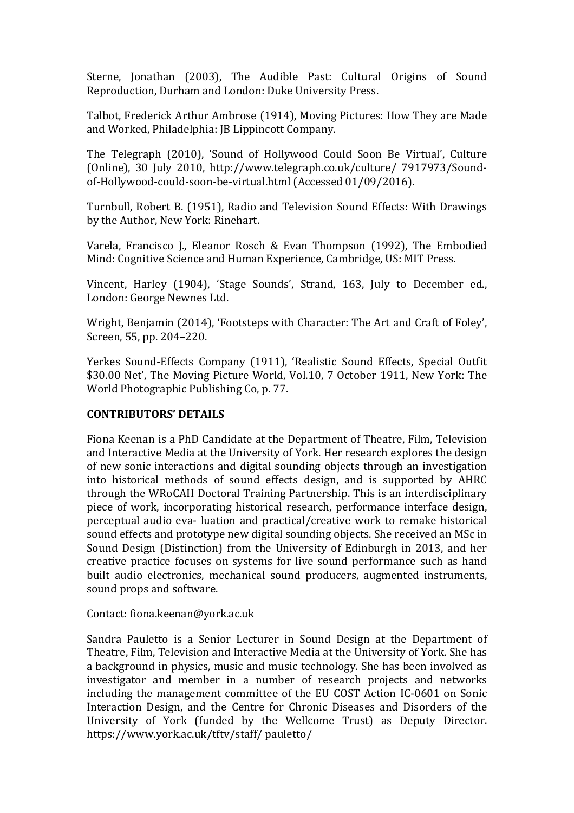Sterne, Jonathan (2003), The Audible Past: Cultural Origins of Sound Reproduction, Durham and London: Duke University Press.

Talbot, Frederick Arthur Ambrose (1914), Moving Pictures: How They are Made and Worked, Philadelphia: JB Lippincott Company.

The Telegraph (2010), 'Sound of Hollywood Could Soon Be Virtual', Culture (Online), 30 July 2010, http://www.telegraph.co.uk/culture/ 7917973/Soundof-Hollywood-could-soon-be-virtual.html (Accessed 01/09/2016).

Turnbull, Robert B. (1951), Radio and Television Sound Effects: With Drawings by the Author, New York: Rinehart.

Varela, Francisco J., Eleanor Rosch & Evan Thompson (1992), The Embodied Mind: Cognitive Science and Human Experience, Cambridge, US: MIT Press.

Vincent, Harley (1904), 'Stage Sounds', Strand, 163, July to December ed., London: George Newnes Ltd.

Wright, Benjamin (2014), 'Footsteps with Character: The Art and Craft of Folev'. Screen, 55, pp. 204-220.

Yerkes Sound-Effects Company (1911), 'Realistic Sound Effects, Special Outfit \$30.00 Net', The Moving Picture World, Vol.10, 7 October 1911, New York: The World Photographic Publishing Co, p. 77.

# **CONTRIBUTORS' DETAILS**

Fiona Keenan is a PhD Candidate at the Department of Theatre, Film, Television and Interactive Media at the University of York. Her research explores the design of new sonic interactions and digital sounding objects through an investigation into historical methods of sound effects design, and is supported by AHRC through the WRoCAH Doctoral Training Partnership. This is an interdisciplinary piece of work, incorporating historical research, performance interface design, perceptual audio eva- luation and practical/creative work to remake historical sound effects and prototype new digital sounding objects. She received an MSc in Sound Design (Distinction) from the University of Edinburgh in 2013, and her creative practice focuses on systems for live sound performance such as hand built audio electronics, mechanical sound producers, augmented instruments, sound props and software.

Contact: fiona.keenan@york.ac.uk

Sandra Pauletto is a Senior Lecturer in Sound Design at the Department of Theatre, Film, Television and Interactive Media at the University of York. She has a background in physics, music and music technology. She has been involved as investigator and member in a number of research projects and networks including the management committee of the EU COST Action IC-0601 on Sonic Interaction Design, and the Centre for Chronic Diseases and Disorders of the University of York (funded by the Wellcome Trust) as Deputy Director. https://www.york.ac.uk/tfty/staff/ pauletto/